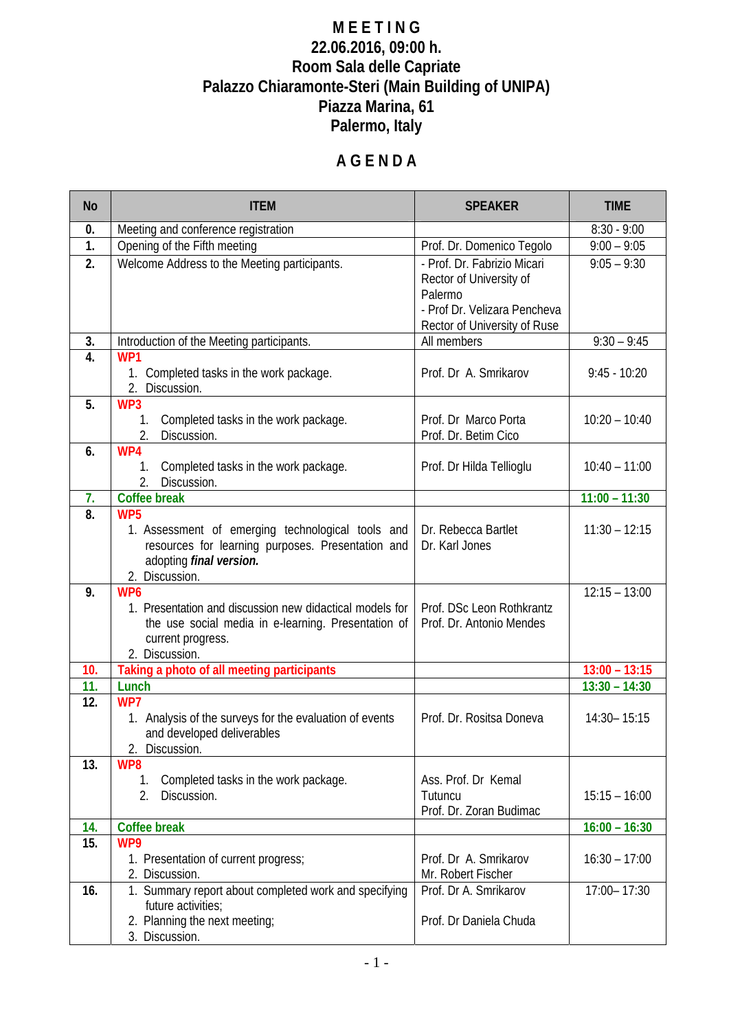## **M E E T I N G 22.06.2016, 09:00 h. Room Sala delle Capriate Palazzo Chiaramonte-Steri (Main Building of UNIPA) Piazza Marina, 61 Palermo, Italy**

# **A G E N D A**

| <b>No</b>        | <b>ITEM</b>                                                                                                                                                               | <b>SPEAKER</b>                                                                                                                    | <b>TIME</b>     |
|------------------|---------------------------------------------------------------------------------------------------------------------------------------------------------------------------|-----------------------------------------------------------------------------------------------------------------------------------|-----------------|
| 0.               | Meeting and conference registration                                                                                                                                       |                                                                                                                                   | $8:30 - 9:00$   |
| $\overline{1}$ . | Opening of the Fifth meeting                                                                                                                                              | Prof. Dr. Domenico Tegolo                                                                                                         | $9:00 - 9:05$   |
| 2.               | Welcome Address to the Meeting participants.                                                                                                                              | - Prof. Dr. Fabrizio Micari<br>Rector of University of<br>Palermo<br>- Prof Dr. Velizara Pencheva<br>Rector of University of Ruse | $9:05 - 9:30$   |
| 3.               | Introduction of the Meeting participants.                                                                                                                                 | All members                                                                                                                       | $9:30 - 9:45$   |
| 4.               | WP1<br>Completed tasks in the work package.<br>1.<br>2. Discussion.                                                                                                       | Prof. Dr A. Smrikarov                                                                                                             | $9:45 - 10:20$  |
| 5.               | WP3<br>Completed tasks in the work package.<br>1.<br>2.<br>Discussion.                                                                                                    | Prof. Dr Marco Porta<br>Prof. Dr. Betim Cico                                                                                      | $10:20 - 10:40$ |
| 6.               | WP4<br>Completed tasks in the work package.<br>$1_{\cdot}$<br>2.<br>Discussion.                                                                                           | Prof. Dr Hilda Tellioglu                                                                                                          | $10:40 - 11:00$ |
| 7.               | <b>Coffee break</b>                                                                                                                                                       |                                                                                                                                   | $11:00 - 11:30$ |
| 8.               | WP <sub>5</sub><br>1. Assessment of emerging technological tools and<br>resources for learning purposes. Presentation and<br>adopting final version.<br>2. Discussion.    | Dr. Rebecca Bartlet<br>Dr. Karl Jones                                                                                             | $11:30 - 12:15$ |
| 9.               | WP <sub>6</sub><br>1. Presentation and discussion new didactical models for<br>the use social media in e-learning. Presentation of<br>current progress.<br>2. Discussion. | Prof. DSc Leon Rothkrantz<br>Prof. Dr. Antonio Mendes                                                                             | $12:15 - 13:00$ |
| 10.              | Taking a photo of all meeting participants                                                                                                                                |                                                                                                                                   | $13:00 - 13:15$ |
| 11.              | Lunch                                                                                                                                                                     |                                                                                                                                   | $13:30 - 14:30$ |
| 12.              | WP7<br>1. Analysis of the surveys for the evaluation of events<br>and developed deliverables<br>2. Discussion.                                                            | Prof. Dr. Rositsa Doneva                                                                                                          | 14:30 - 15:15   |
| 13.              | WP8<br>Completed tasks in the work package.<br>$1_{\cdot}$<br>Discussion.<br>2.                                                                                           | Ass. Prof. Dr Kemal<br>Tutuncu<br>Prof. Dr. Zoran Budimac                                                                         | $15:15 - 16:00$ |
| 14.              | <b>Coffee break</b>                                                                                                                                                       |                                                                                                                                   | $16:00 - 16:30$ |
| 15.              | WP9<br>1. Presentation of current progress;<br>2. Discussion.                                                                                                             | Prof. Dr A. Smrikarov<br>Mr. Robert Fischer                                                                                       | $16:30 - 17:00$ |
| 16.              | 1. Summary report about completed work and specifying<br>future activities;<br>2. Planning the next meeting;<br>3. Discussion.                                            | Prof. Dr A. Smrikarov<br>Prof. Dr Daniela Chuda                                                                                   | 17:00-17:30     |